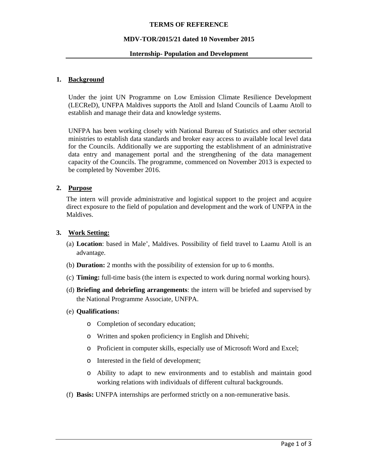#### **TERMS OF REFERENCE**

#### **MDV-TOR/2015/21 dated 10 November 2015**

#### **Internship- Population and Development**

## **1. Background**

Under the joint UN Programme on Low Emission Climate Resilience Development (LECReD), UNFPA Maldives supports the Atoll and Island Councils of Laamu Atoll to establish and manage their data and knowledge systems.

UNFPA has been working closely with National Bureau of Statistics and other sectorial ministries to establish data standards and broker easy access to available local level data for the Councils. Additionally we are supporting the establishment of an administrative data entry and management portal and the strengthening of the data management capacity of the Councils. The programme, commenced on November 2013 is expected to be completed by November 2016.

## **2. Purpose**

The intern will provide administrative and logistical support to the project and acquire direct exposure to the field of population and development and the work of UNFPA in the Maldives.

## **3. Work Setting:**

- (a) **Location**: based in Male', Maldives. Possibility of field travel to Laamu Atoll is an advantage.
- (b) **Duration:** 2 months with the possibility of extension for up to 6 months.
- (c) **Timing:** full-time basis (the intern is expected to work during normal working hours).
- (d) **Briefing and debriefing arrangements**: the intern will be briefed and supervised by the National Programme Associate, UNFPA.
- (e) **Qualifications:**
	- o Completion of secondary education;
	- o Written and spoken proficiency in English and Dhivehi;
	- o Proficient in computer skills, especially use of Microsoft Word and Excel;
	- o Interested in the field of development;
	- o Ability to adapt to new environments and to establish and maintain good working relations with individuals of different cultural backgrounds.
- (f) **Basis:** UNFPA internships are performed strictly on a non-remunerative basis.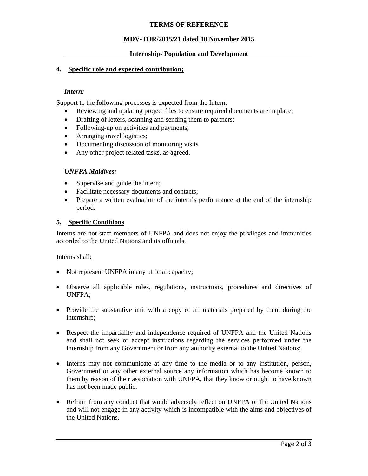## **TERMS OF REFERENCE**

## **MDV-TOR/2015/21 dated 10 November 2015**

#### **Internship- Population and Development**

#### **4. Specific role and expected contribution;**

#### *Intern:*

Support to the following processes is expected from the Intern:

- Reviewing and updating project files to ensure required documents are in place;
- Drafting of letters, scanning and sending them to partners;
- Following-up on activities and payments;
- Arranging travel logistics;
- Documenting discussion of monitoring visits
- Any other project related tasks, as agreed.

## *UNFPA Maldives:*

- Supervise and guide the intern;
- Facilitate necessary documents and contacts;
- Prepare a written evaluation of the intern's performance at the end of the internship period.

## **5. Specific Conditions**

Interns are not staff members of UNFPA and does not enjoy the privileges and immunities accorded to the United Nations and its officials.

#### Interns shall:

- Not represent UNFPA in any official capacity;
- Observe all applicable rules, regulations, instructions, procedures and directives of UNFPA;
- Provide the substantive unit with a copy of all materials prepared by them during the internship;
- Respect the impartiality and independence required of UNFPA and the United Nations and shall not seek or accept instructions regarding the services performed under the internship from any Government or from any authority external to the United Nations;
- Interns may not communicate at any time to the media or to any institution, person, Government or any other external source any information which has become known to them by reason of their association with UNFPA, that they know or ought to have known has not been made public.
- Refrain from any conduct that would adversely reflect on UNFPA or the United Nations and will not engage in any activity which is incompatible with the aims and objectives of the United Nations.